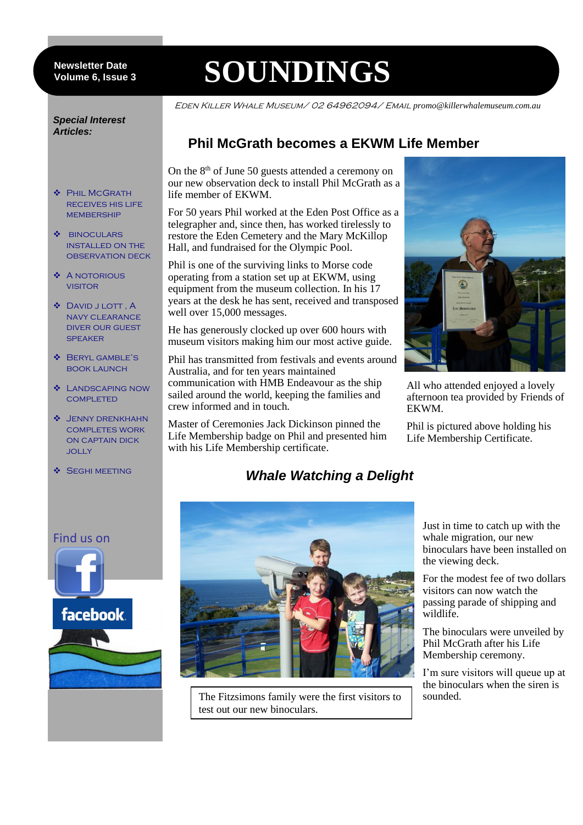#### 6 **Volume 6, Issue 3 Newsletter Date**

# **SOUNDINGS**

life member of EKWM.

well over 15,000 messages.

crew informed and in touch.

Hall, and fundraised for the Olympic Pool.

Australia, and for ten years maintained

with his Life Membership certificate.

communication with HMB Endeavour as the ship sailed around the world, keeping the families and

Master of Ceremonies Jack Dickinson pinned the Life Membership badge on Phil and presented him

Eden Killer Whale Museum/ 02 64962094/ Email *promo@killerwhalemuseum.com.au*

#### *Special Interest Articles:*

- **S** PHIL MCGRATH receives his life **MEMBERSHIP**
- $\bullet$  BINOCULARS installed on the observation deck
- $\triangle$  A NOTORIOUS **VISITOR**
- David j lott , A navy clearance diver our guest **SPEAKER**
- Beryl gamble's book launch
- Landscaping now **COMPLETED**
- $\div$  JENNY DRENKHAHN completes work on captain dick jolly
- **SEGHI MEETING**



All who attended enjoyed a lovely afternoon tea provided by Friends of EKWM.

Phil is pictured above holding his Life Membership Certificate.

# *Whale Watching a Delight*



The Fitzsimons family were the first visitors to test out our new binoculars.

Just in time to catch up with the whale migration, our new binoculars have been installed on the viewing deck.

For the modest fee of two dollars visitors can now watch the passing parade of shipping and wildlife.

The binoculars were unveiled by Phil McGrath after his Life Membership ceremony.

I'm sure visitors will queue up at the binoculars when the siren is sounded.

### Find us on

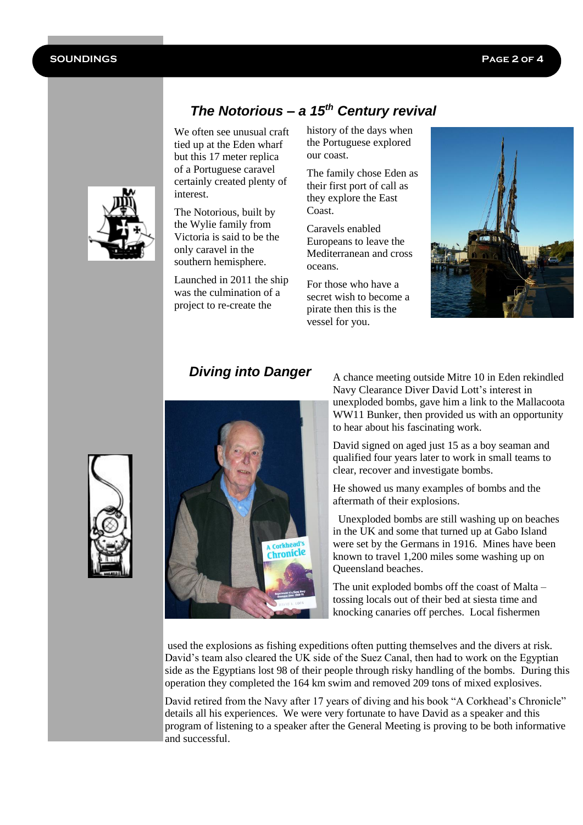

*The Notorious – a 15th Century revival*

We often see unusual craft tied up at the Eden wharf but this 17 meter replica of a Portuguese caravel certainly created plenty of interest.

The Notorious, built by the Wylie family from Victoria is said to be the only caravel in the southern hemisphere.

Launched in 2011 the ship was the culmination of a project to re-create the

history of the days when the Portuguese explored our coast.

The family chose Eden as their first port of call as they explore the East Coast.

Caravels enabled Europeans to leave the Mediterranean and cross oceans.

For those who have a secret wish to become a pirate then this is the vessel for you.



# *Diving into Danger*



A chance meeting outside Mitre 10 in Eden rekindled Navy Clearance Diver David Lott's interest in unexploded bombs, gave him a link to the Mallacoota WW11 Bunker, then provided us with an opportunity to hear about his fascinating work.

David signed on aged just 15 as a boy seaman and qualified four years later to work in small teams to clear, recover and investigate bombs.

He showed us many examples of bombs and the aftermath of their explosions.

 Unexploded bombs are still washing up on beaches in the UK and some that turned up at Gabo Island were set by the Germans in 1916. Mines have been known to travel 1,200 miles some washing up on Queensland beaches.

The unit exploded bombs off the coast of Malta – tossing locals out of their bed at siesta time and knocking canaries off perches. Local fishermen

used the explosions as fishing expeditions often putting themselves and the divers at risk. David's team also cleared the UK side of the Suez Canal, then had to work on the Egyptian side as the Egyptians lost 98 of their people through risky handling of the bombs. During this operation they completed the 164 km swim and removed 209 tons of mixed explosives.

David retired from the Navy after 17 years of diving and his book "A Corkhead's Chronicle" details all his experiences. We were very fortunate to have David as a speaker and this program of listening to a speaker after the General Meeting is proving to be both informative and successful.

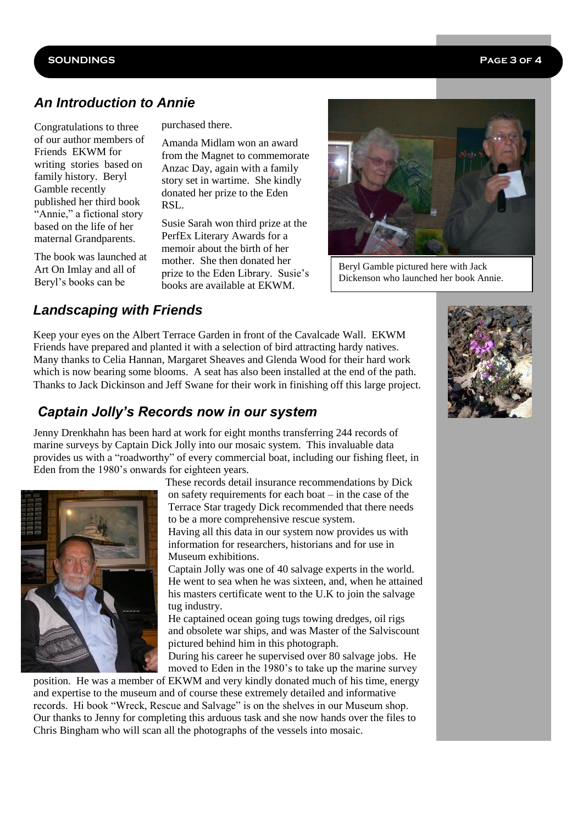#### **SOUNDINGS Page 3 of 4**

# *An Introduction to Annie*

Congratulations to three of our author members of Friends EKWM for writing stories based on family history. Beryl Gamble recently published her third book "Annie," a fictional story based on the life of her maternal Grandparents.

The book was launched at Art On Imlay and all of Beryl's books can be

purchased there.

Amanda Midlam won an award from the Magnet to commemorate Anzac Day, again with a family story set in wartime. She kindly donated her prize to the Eden RSL.

Susie Sarah won third prize at the PerfEx Literary Awards for a memoir about the birth of her mother. She then donated her prize to the Eden Library. Susie's books are available at EKWM.



Beryl Gamble pictured here with Jack Dickenson who launched her book Annie.

## *Landscaping with Friends*

Keep your eyes on the Albert Terrace Garden in front of the Cavalcade Wall. EKWM Friends have prepared and planted it with a selection of bird attracting hardy natives. Many thanks to Celia Hannan, Margaret Sheaves and Glenda Wood for their hard work which is now bearing some blooms. A seat has also been installed at the end of the path. Thanks to Jack Dickinson and Jeff Swane for their work in finishing off this large project.

# *Captain Jolly's Records now in our system*

Jenny Drenkhahn has been hard at work for eight months transferring 244 records of marine surveys by Captain Dick Jolly into our mosaic system. This invaluable data provides us with a "roadworthy" of every commercial boat, including our fishing fleet, in Eden from the 1980's onwards for eighteen years.



 These records detail insurance recommendations by Dick on safety requirements for each boat – in the case of the Terrace Star tragedy Dick recommended that there needs

 to be a more comprehensive rescue system. Having all this data in our system now provides us with

information for researchers, historians and for use in Museum exhibitions.

 Captain Jolly was one of 40 salvage experts in the world. He went to sea when he was sixteen, and, when he attained his masters certificate went to the U.K to join the salvage tug industry.

He captained ocean going tugs towing dredges, oil rigs and obsolete war ships, and was Master of the Salviscount pictured behind him in this photograph.

During his career he supervised over 80 salvage jobs. He moved to Eden in the 1980's to take up the marine survey

position. He was a member of EKWM and very kindly donated much of his time, energy and expertise to the museum and of course these extremely detailed and informative records. Hi book "Wreck, Rescue and Salvage" is on the shelves in our Museum shop. Our thanks to Jenny for completing this arduous task and she now hands over the files to Chris Bingham who will scan all the photographs of the vessels into mosaic.